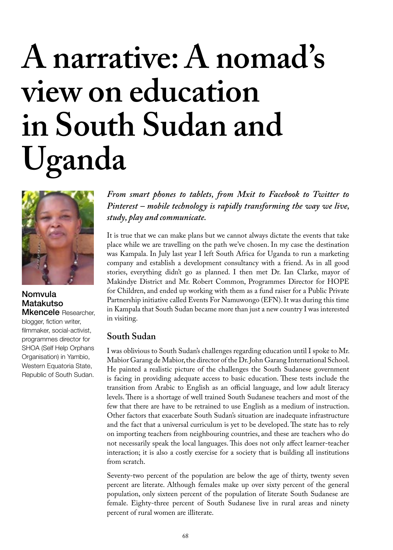# **A narrative: A nomad's view on education in South Sudan and Uganda**



#### Nomvula Matakutso Mkencele Researcher,

blogger, fiction writer, filmmaker, social-activist, programmes director for SHOA (Self Help Orphans Organisation) in Yambio, Western Equatoria State, Republic of South Sudan. *From smart phones to tablets, from Mxit to Facebook to Twitter to Pinterest – mobile technology is rapidly transforming the way we live, study, play and communicate.* 

It is true that we can make plans but we cannot always dictate the events that take place while we are travelling on the path we've chosen. In my case the destination was Kampala. In July last year I left South Africa for Uganda to run a marketing company and establish a development consultancy with a friend. As in all good stories, everything didn't go as planned. I then met Dr. Ian Clarke, mayor of Makindye District and Mr. Robert Common, Programmes Director for HOPE for Children, and ended up working with them as a fund raiser for a Public Private Partnership initiative called Events For Namuwongo (EFN). It was during this time in Kampala that South Sudan became more than just a new country I was interested in visiting.

## **South Sudan**

I was oblivious to South Sudan's challenges regarding education until I spoke to Mr. Mabior Garang de Mabior, the director of the Dr. John Garang International School. He painted a realistic picture of the challenges the South Sudanese government is facing in providing adequate access to basic education. These tests include the transition from Arabic to English as an official language, and low adult literacy levels. There is a shortage of well trained South Sudanese teachers and most of the few that there are have to be retrained to use English as a medium of instruction. Other factors that exacerbate South Sudan's situation are inadequate infrastructure and the fact that a universal curriculum is yet to be developed. The state has to rely on importing teachers from neighbouring countries, and these are teachers who do not necessarily speak the local languages. This does not only affect learner-teacher interaction; it is also a costly exercise for a society that is building all institutions from scratch.

Seventy-two percent of the population are below the age of thirty, twenty seven percent are literate. Although females make up over sixty percent of the general population, only sixteen percent of the population of literate South Sudanese are female. Eighty-three percent of South Sudanese live in rural areas and ninety percent of rural women are illiterate.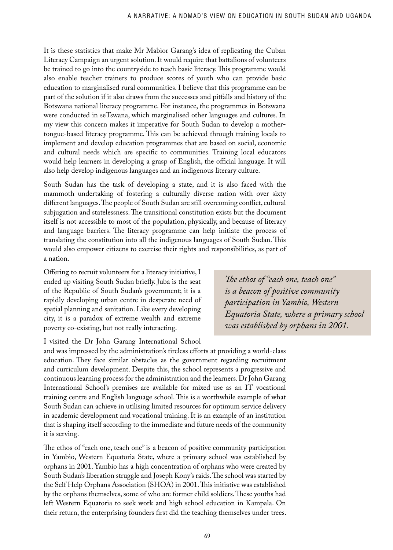It is these statistics that make Mr Mabior Garang's idea of replicating the Cuban Literacy Campaign an urgent solution. It would require that battalions of volunteers be trained to go into the countryside to teach basic literacy. This programme would also enable teacher trainers to produce scores of youth who can provide basic education to marginalised rural communities. I believe that this programme can be part of the solution if it also draws from the successes and pitfalls and history of the Botswana national literacy programme. For instance, the programmes in Botswana were conducted in seTswana, which marginalised other languages and cultures. In my view this concern makes it imperative for South Sudan to develop a mothertongue-based literacy programme. This can be achieved through training locals to implement and develop education programmes that are based on social, economic and cultural needs which are specific to communities. Training local educators would help learners in developing a grasp of English, the official language. It will also help develop indigenous languages and an indigenous literary culture.

South Sudan has the task of developing a state, and it is also faced with the mammoth undertaking of fostering a culturally diverse nation with over sixty different languages. The people of South Sudan are still overcoming conflict, cultural subjugation and statelessness. The transitional constitution exists but the document itself is not accessible to most of the population, physically, and because of literacy and language barriers. The literacy programme can help initiate the process of translating the constitution into all the indigenous languages of South Sudan. This would also empower citizens to exercise their rights and responsibilities, as part of a nation.

Offering to recruit volunteers for a literacy initiative, I ended up visiting South Sudan briefly. Juba is the seat of the Republic of South Sudan's government; it is a rapidly developing urban centre in desperate need of spatial planning and sanitation. Like every developing city, it is a paradox of extreme wealth and extreme poverty co-existing, but not really interacting.

I visited the Dr John Garang International School

*!e ethos of "each one, teach one" is a beacon of positive community participation in Yambio, Western Equatoria State, where a primary school was established by orphans in 2001.* 

and was impressed by the administration's tireless efforts at providing a world-class education. They face similar obstacles as the government regarding recruitment and curriculum development. Despite this, the school represents a progressive and continuous learning process for the administration and the learners. Dr John Garang International School's premises are available for mixed use as an IT vocational training centre and English language school. This is a worthwhile example of what South Sudan can achieve in utilising limited resources for optimum service delivery in academic development and vocational training. It is an example of an institution that is shaping itself according to the immediate and future needs of the community it is serving.

The ethos of "each one, teach one" is a beacon of positive community participation in Yambio, Western Equatoria State, where a primary school was established by orphans in 2001. Yambio has a high concentration of orphans who were created by South Sudan's liberation struggle and Joseph Kony's raids. The school was started by the Self Help Orphans Association (SHOA) in 2001. This initiative was established by the orphans themselves, some of who are former child soldiers. These youths had left Western Equatoria to seek work and high school education in Kampala. On their return, the enterprising founders first did the teaching themselves under trees.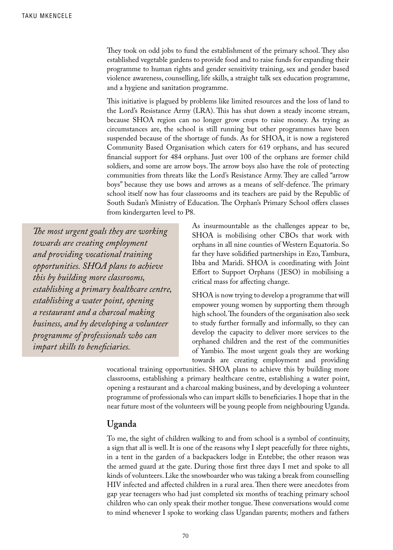They took on odd jobs to fund the establishment of the primary school. They also established vegetable gardens to provide food and to raise funds for expanding their programme to human rights and gender sensitivity training, sex and gender based violence awareness, counselling, life skills, a straight talk sex education programme, and a hygiene and sanitation programme.

This initiative is plagued by problems like limited resources and the loss of land to the Lord's Resistance Army (LRA). This has shut down a steady income stream, because SHOA region can no longer grow crops to raise money. As trying as circumstances are, the school is still running but other programmes have been suspended because of the shortage of funds. As for SHOA, it is now a registered Community Based Organisation which caters for 619 orphans, and has secured financial support for 484 orphans. Just over 100 of the orphans are former child soldiers, and some are arrow boys. The arrow boys also have the role of protecting communities from threats like the Lord's Resistance Army. They are called "arrow boys" because they use bows and arrows as a means of self-defence. The primary school itself now has four classrooms and its teachers are paid by the Republic of South Sudan's Ministry of Education. The Orphan's Primary School offers classes from kindergarten level to P8.

*!e most urgent goals they are working towards are creating employment and providing vocational training opportunities. SHOA plans to achieve this by building more classrooms, establishing a primary healthcare centre, establishing a water point, opening a restaurant and a charcoal making business, and by developing a volunteer programme of professionals who can impart skills to beneficiaries.* 

As insurmountable as the challenges appear to be, SHOA is mobilising other CBOs that work with orphans in all nine counties of Western Equatoria. So far they have solidified partnerships in Ezo, Tambura, Ibba and Maridi. SHOA is coordinating with Joint Effort to Support Orphans (JESO) in mobilising a critical mass for a#ecting change.

SHOA is now trying to develop a programme that will empower young women by supporting them through high school. The founders of the organisation also seek to study further formally and informally, so they can develop the capacity to deliver more services to the orphaned children and the rest of the communities of Yambio. The most urgent goals they are working towards are creating employment and providing

vocational training opportunities. SHOA plans to achieve this by building more classrooms, establishing a primary healthcare centre, establishing a water point, opening a restaurant and a charcoal making business, and by developing a volunteer programme of professionals who can impart skills to beneficiaries. I hope that in the near future most of the volunteers will be young people from neighbouring Uganda.

### **Uganda**

To me, the sight of children walking to and from school is a symbol of continuity, a sign that all is well. It is one of the reasons why I slept peacefully for three nights, in a tent in the garden of a backpackers lodge in Entebbe; the other reason was the armed guard at the gate. During those first three days I met and spoke to all kinds of volunteers. Like the snowboarder who was taking a break from counselling HIV infected and affected children in a rural area. Then there were anecdotes from gap year teenagers who had just completed six months of teaching primary school children who can only speak their mother tongue. These conversations would come to mind whenever I spoke to working class Ugandan parents; mothers and fathers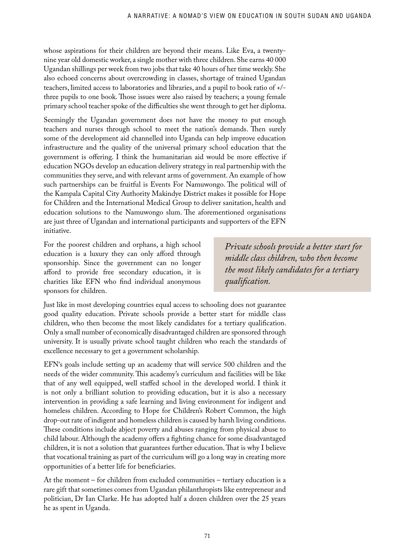whose aspirations for their children are beyond their means. Like Eva, a twentynine year old domestic worker, a single mother with three children. She earns 40 000 Ugandan shillings per week from two jobs that take 40 hours of her time weekly. She also echoed concerns about overcrowding in classes, shortage of trained Ugandan teachers, limited access to laboratories and libraries, and a pupil to book ratio of +/ three pupils to one book. Those issues were also raised by teachers; a young female primary school teacher spoke of the difficulties she went through to get her diploma.

Seemingly the Ugandan government does not have the money to put enough teachers and nurses through school to meet the nation's demands. Then surely some of the development aid channelled into Uganda can help improve education infrastructure and the quality of the universal primary school education that the government is offering. I think the humanitarian aid would be more effective if education NGOs develop an education delivery strategy in real partnership with the communities they serve, and with relevant arms of government. An example of how such partnerships can be fruitful is Events For Namuwongo. The political will of the Kampala Capital City Authority Makindye District makes it possible for Hope for Children and the International Medical Group to deliver sanitation, health and education solutions to the Namuwongo slum. The aforementioned organisations are just three of Ugandan and international participants and supporters of the EFN initiative.

For the poorest children and orphans, a high school education is a luxury they can only afford through sponsorship. Since the government can no longer afford to provide free secondary education, it is charities like EFN who find individual anonymous sponsors for children.

*Private schools provide a better start for middle class children, who then become the most likely candidates for a tertiary quali!cation.* 

Just like in most developing countries equal access to schooling does not guarantee good quality education. Private schools provide a better start for middle class children, who then become the most likely candidates for a tertiary qualification. Only a small number of economically disadvantaged children are sponsored through university. It is usually private school taught children who reach the standards of excellence necessary to get a government scholarship.

EFN's goals include setting up an academy that will service 500 children and the needs of the wider community. This academy's curriculum and facilities will be like that of any well equipped, well staffed school in the developed world. I think it is not only a brilliant solution to providing education, but it is also a necessary intervention in providing a safe learning and living environment for indigent and homeless children. According to Hope for Children's Robert Common, the high drop-out rate of indigent and homeless children is caused by harsh living conditions. These conditions include abject poverty and abuses ranging from physical abuse to child labour. Although the academy offers a fighting chance for some disadvantaged children, it is not a solution that guarantees further education. That is why I believe that vocational training as part of the curriculum will go a long way in creating more opportunities of a better life for beneficiaries.

At the moment – for children from excluded communities – tertiary education is a rare gift that sometimes comes from Ugandan philanthropists like entrepreneur and politician, Dr Ian Clarke. He has adopted half a dozen children over the 25 years he as spent in Uganda.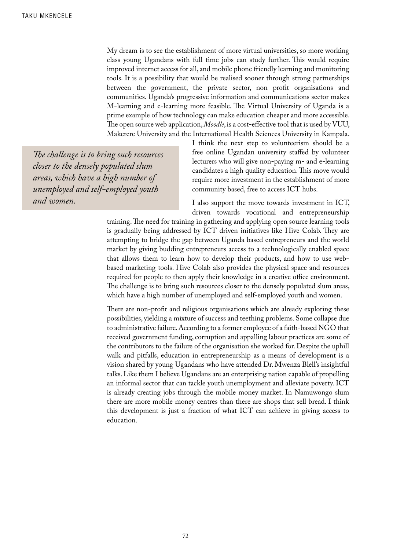My dream is to see the establishment of more virtual universities, so more working class young Ugandans with full time jobs can study further. This would require improved internet access for all, and mobile phone friendly learning and monitoring tools. It is a possibility that would be realised sooner through strong partnerships between the government, the private sector, non profit organisations and communities. Uganda's progressive information and communications sector makes M-learning and e-learning more feasible. The Virtual University of Uganda is a prime example of how technology can make education cheaper and more accessible. The open source web application, *Moodle*, is a cost-effective tool that is used by VUU, Makerere University and the International Health Sciences University in Kampala.

*!e challenge is to bring such resources closer to the densely populated slum areas, which have a high number of unemployed and self-employed youth and women.*

I think the next step to volunteerism should be a free online Ugandan university staffed by volunteer lecturers who will give non-paying m- and e-learning candidates a high quality education. This move would require more investment in the establishment of more community based, free to access ICT hubs.

I also support the move towards investment in ICT, driven towards vocational and entrepreneurship

training. The need for training in gathering and applying open source learning tools is gradually being addressed by ICT driven initiatives like Hive Colab. They are attempting to bridge the gap between Uganda based entrepreneurs and the world market by giving budding entrepreneurs access to a technologically enabled space that allows them to learn how to develop their products, and how to use webbased marketing tools. Hive Colab also provides the physical space and resources required for people to then apply their knowledge in a creative office environment. The challenge is to bring such resources closer to the densely populated slum areas, which have a high number of unemployed and self-employed youth and women.

There are non-profit and religious organisations which are already exploring these possibilities, yielding a mixture of success and teething problems. Some collapse due to administrative failure. According to a former employee of a faith-based NGO that received government funding, corruption and appalling labour practices are some of the contributors to the failure of the organisation she worked for. Despite the uphill walk and pitfalls, education in entrepreneurship as a means of development is a vision shared by young Ugandans who have attended Dr. Mwenza Blell's insightful talks. Like them I believe Ugandans are an enterprising nation capable of propelling an informal sector that can tackle youth unemployment and alleviate poverty. ICT is already creating jobs through the mobile money market. In Namuwongo slum there are more mobile money centres than there are shops that sell bread. I think this development is just a fraction of what ICT can achieve in giving access to education.